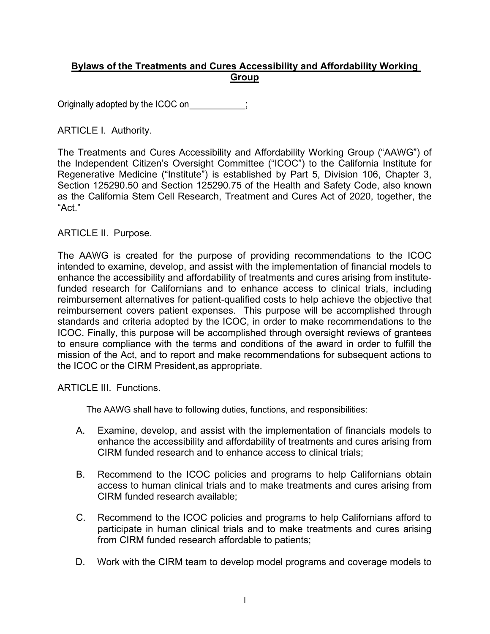## **Bylaws of the Treatments and Cures Accessibility and Affordability Working Group**

Originally adopted by the ICOC on ;

## ARTICLE I. Authority.

The Treatments and Cures Accessibility and Affordability Working Group ("AAWG") of the Independent Citizen's Oversight Committee ("ICOC") to the California Institute for Regenerative Medicine ("Institute") is established by Part 5, Division 106, Chapter 3, Section 125290.50 and Section 125290.75 of the Health and Safety Code, also known as the California Stem Cell Research, Treatment and Cures Act of 2020, together, the "Act."

ARTICLE II. Purpose.

The AAWG is created for the purpose of providing recommendations to the ICOC intended to examine, develop, and assist with the implementation of financial models to enhance the accessibility and affordability of treatments and cures arising from institutefunded research for Californians and to enhance access to clinical trials, including reimbursement alternatives for patient-qualified costs to help achieve the objective that reimbursement covers patient expenses. This purpose will be accomplished through standards and criteria adopted by the ICOC, in order to make recommendations to the ICOC. Finally, this purpose will be accomplished through oversight reviews of grantees to ensure compliance with the terms and conditions of the award in order to fulfill the mission of the Act, and to report and make recommendations for subsequent actions to the ICOC or the CIRM President,as appropriate.

ARTICLE III. Functions.

The AAWG shall have to following duties, functions, and responsibilities:

- A. Examine, develop, and assist with the implementation of financials models to enhance the accessibility and affordability of treatments and cures arising from CIRM funded research and to enhance access to clinical trials;
- B. Recommend to the ICOC policies and programs to help Californians obtain access to human clinical trials and to make treatments and cures arising from CIRM funded research available;
- C. Recommend to the ICOC policies and programs to help Californians afford to participate in human clinical trials and to make treatments and cures arising from CIRM funded research affordable to patients;
- D. Work with the CIRM team to develop model programs and coverage models to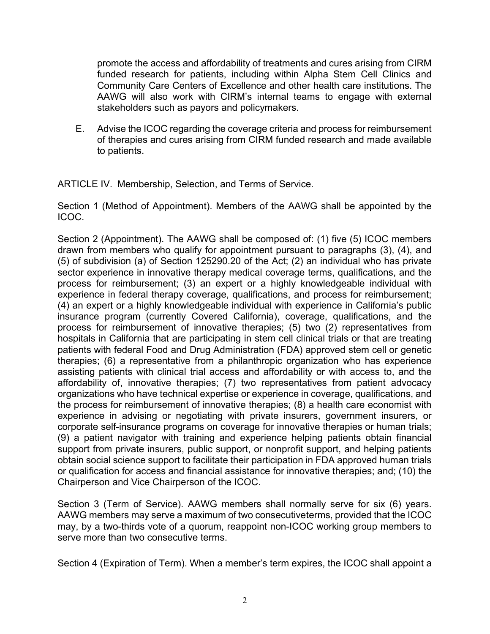promote the access and affordability of treatments and cures arising from CIRM funded research for patients, including within Alpha Stem Cell Clinics and Community Care Centers of Excellence and other health care institutions. The AAWG will also work with CIRM's internal teams to engage with external stakeholders such as payors and policymakers.

E. Advise the ICOC regarding the coverage criteria and process for reimbursement of therapies and cures arising from CIRM funded research and made available to patients.

ARTICLE IV. Membership, Selection, and Terms of Service.

Section 1 (Method of Appointment). Members of the AAWG shall be appointed by the ICOC.

Section 2 (Appointment). The AAWG shall be composed of: (1) five (5) ICOC members drawn from members who qualify for appointment pursuant to paragraphs (3), (4), and (5) of subdivision (a) of Section 125290.20 of the Act; (2) an individual who has private sector experience in innovative therapy medical coverage terms, qualifications, and the process for reimbursement; (3) an expert or a highly knowledgeable individual with experience in federal therapy coverage, qualifications, and process for reimbursement; (4) an expert or a highly knowledgeable individual with experience in California's public insurance program (currently Covered California), coverage, qualifications, and the process for reimbursement of innovative therapies; (5) two (2) representatives from hospitals in California that are participating in stem cell clinical trials or that are treating patients with federal Food and Drug Administration (FDA) approved stem cell or genetic therapies; (6) a representative from a philanthropic organization who has experience assisting patients with clinical trial access and affordability or with access to, and the affordability of, innovative therapies; (7) two representatives from patient advocacy organizations who have technical expertise or experience in coverage, qualifications, and the process for reimbursement of innovative therapies; (8) a health care economist with experience in advising or negotiating with private insurers, government insurers, or corporate self-insurance programs on coverage for innovative therapies or human trials; (9) a patient navigator with training and experience helping patients obtain financial support from private insurers, public support, or nonprofit support, and helping patients obtain social science support to facilitate their participation in FDA approved human trials or qualification for access and financial assistance for innovative therapies; and; (10) the Chairperson and Vice Chairperson of the ICOC.

Section 3 (Term of Service). AAWG members shall normally serve for six (6) years. AAWG members may serve a maximum of two consecutiveterms, provided that the ICOC may, by a two-thirds vote of a quorum, reappoint non-ICOC working group members to serve more than two consecutive terms.

Section 4 (Expiration of Term). When a member's term expires, the ICOC shall appoint a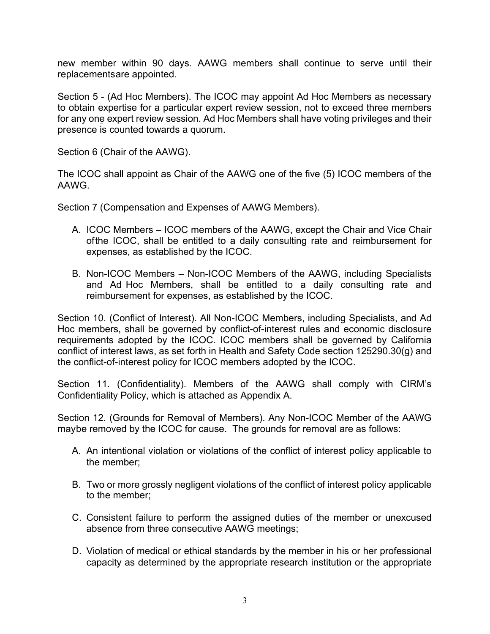new member within 90 days. AAWG members shall continue to serve until their replacementsare appointed.

Section 5 - (Ad Hoc Members). The ICOC may appoint Ad Hoc Members as necessary to obtain expertise for a particular expert review session, not to exceed three members for any one expert review session. Ad Hoc Members shall have voting privileges and their presence is counted towards a quorum.

Section 6 (Chair of the AAWG).

The ICOC shall appoint as Chair of the AAWG one of the five (5) ICOC members of the AAWG.

Section 7 (Compensation and Expenses of AAWG Members).

- A. ICOC Members ICOC members of the AAWG, except the Chair and Vice Chair ofthe ICOC, shall be entitled to a daily consulting rate and reimbursement for expenses, as established by the ICOC.
- B. Non-ICOC Members Non-ICOC Members of the AAWG, including Specialists and Ad Hoc Members, shall be entitled to a daily consulting rate and reimbursement for expenses, as established by the ICOC.

Section 10. (Conflict of Interest). All Non-ICOC Members, including Specialists, and Ad Hoc members, shall be governed by conflict-of-interest rules and economic disclosure requirements adopted by the ICOC. ICOC members shall be governed by California conflict of interest laws, as set forth in Health and Safety Code section 125290.30(g) and the conflict-of-interest policy for ICOC members adopted by the ICOC.

Section 11. (Confidentiality). Members of the AAWG shall comply with CIRM's Confidentiality Policy, which is attached as Appendix A.

Section 12. (Grounds for Removal of Members). Any Non-ICOC Member of the AAWG maybe removed by the ICOC for cause. The grounds for removal are as follows:

- A. An intentional violation or violations of the conflict of interest policy applicable to the member;
- B. Two or more grossly negligent violations of the conflict of interest policy applicable to the member;
- C. Consistent failure to perform the assigned duties of the member or unexcused absence from three consecutive AAWG meetings;
- D. Violation of medical or ethical standards by the member in his or her professional capacity as determined by the appropriate research institution or the appropriate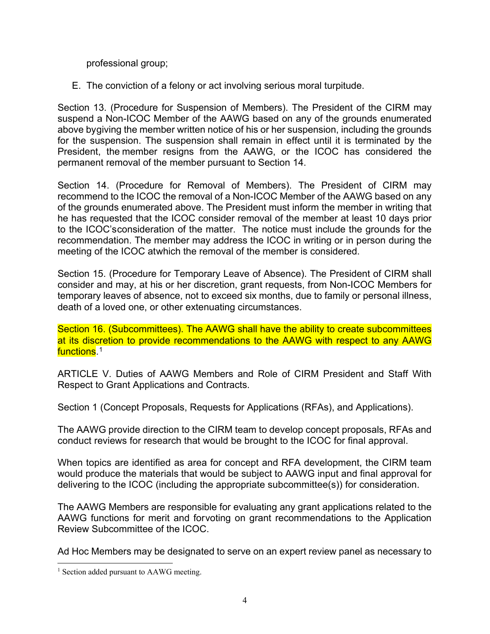professional group;

E. The conviction of a felony or act involving serious moral turpitude.

Section 13. (Procedure for Suspension of Members). The President of the CIRM may suspend a Non-ICOC Member of the AAWG based on any of the grounds enumerated above bygiving the member written notice of his or her suspension, including the grounds for the suspension. The suspension shall remain in effect until it is terminated by the President, the member resigns from the AAWG, or the ICOC has considered the permanent removal of the member pursuant to Section 14.

Section 14. (Procedure for Removal of Members). The President of CIRM may recommend to the ICOC the removal of a Non-ICOC Member of the AAWG based on any of the grounds enumerated above. The President must inform the member in writing that he has requested that the ICOC consider removal of the member at least 10 days prior to the ICOC'sconsideration of the matter. The notice must include the grounds for the recommendation. The member may address the ICOC in writing or in person during the meeting of the ICOC atwhich the removal of the member is considered.

Section 15. (Procedure for Temporary Leave of Absence). The President of CIRM shall consider and may, at his or her discretion, grant requests, from Non-ICOC Members for temporary leaves of absence, not to exceed six months, due to family or personal illness, death of a loved one, or other extenuating circumstances.

Section 16. (Subcommittees). The AAWG shall have the ability to create subcommittees at its discretion to provide recommendations to the AAWG with respect to any AAWG <mark>functions</mark>.[1](#page-3-0)

ARTICLE V. Duties of AAWG Members and Role of CIRM President and Staff With Respect to Grant Applications and Contracts.

Section 1 (Concept Proposals, Requests for Applications (RFAs), and Applications).

The AAWG provide direction to the CIRM team to develop concept proposals, RFAs and conduct reviews for research that would be brought to the ICOC for final approval.

When topics are identified as area for concept and RFA development, the CIRM team would produce the materials that would be subject to AAWG input and final approval for delivering to the ICOC (including the appropriate subcommittee(s)) for consideration.

The AAWG Members are responsible for evaluating any grant applications related to the AAWG functions for merit and forvoting on grant recommendations to the Application Review Subcommittee of the ICOC.

Ad Hoc Members may be designated to serve on an expert review panel as necessary to

<span id="page-3-0"></span> $\overline{a}$ <sup>1</sup> Section added pursuant to AAWG meeting.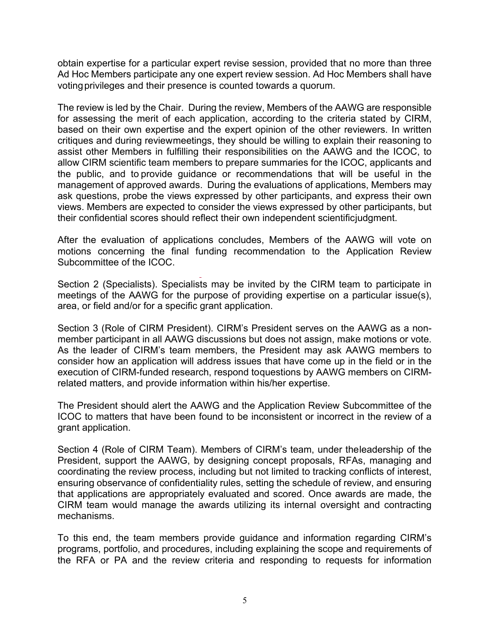obtain expertise for a particular expert revise session, provided that no more than three Ad Hoc Members participate any one expert review session. Ad Hoc Members shall have voting privileges and their presence is counted towards a quorum.

The review is led by the Chair. During the review, Members of the AAWG are responsible for assessing the merit of each application, according to the criteria stated by CIRM, based on their own expertise and the expert opinion of the other reviewers. In written critiques and during reviewmeetings, they should be willing to explain their reasoning to assist other Members in fulfilling their responsibilities on the AAWG and the ICOC, to allow CIRM scientific team members to prepare summaries for the ICOC, applicants and the public, and to provide guidance or recommendations that will be useful in the management of approved awards. During the evaluations of applications, Members may ask questions, probe the views expressed by other participants, and express their own views. Members are expected to consider the views expressed by other participants, but their confidential scores should reflect their own independent scientificjudgment.

After the evaluation of applications concludes, Members of the AAWG will vote on motions concerning the final funding recommendation to the Application Review Subcommittee of the ICOC.

Section 2 (Specialists). Specialists may be invited by the CIRM team to participate in meetings of the AAWG for the purpose of providing expertise on a particular issue(s), area, or field and/or for a specific grant application.

Section 3 (Role of CIRM President). CIRM's President serves on the AAWG as a nonmember participant in all AAWG discussions but does not assign, make motions or vote. As the leader of CIRM's team members, the President may ask AAWG members to consider how an application will address issues that have come up in the field or in the execution of CIRM-funded research, respond toquestions by AAWG members on CIRMrelated matters, and provide information within his/her expertise.

The President should alert the AAWG and the Application Review Subcommittee of the ICOC to matters that have been found to be inconsistent or incorrect in the review of a grant application.

Section 4 (Role of CIRM Team). Members of CIRM's team, under theleadership of the President, support the AAWG, by designing concept proposals, RFAs, managing and coordinating the review process, including but not limited to tracking conflicts of interest, ensuring observance of confidentiality rules, setting the schedule of review, and ensuring that applications are appropriately evaluated and scored. Once awards are made, the CIRM team would manage the awards utilizing its internal oversight and contracting mechanisms.

To this end, the team members provide guidance and information regarding CIRM's programs, portfolio, and procedures, including explaining the scope and requirements of the RFA or PA and the review criteria and responding to requests for information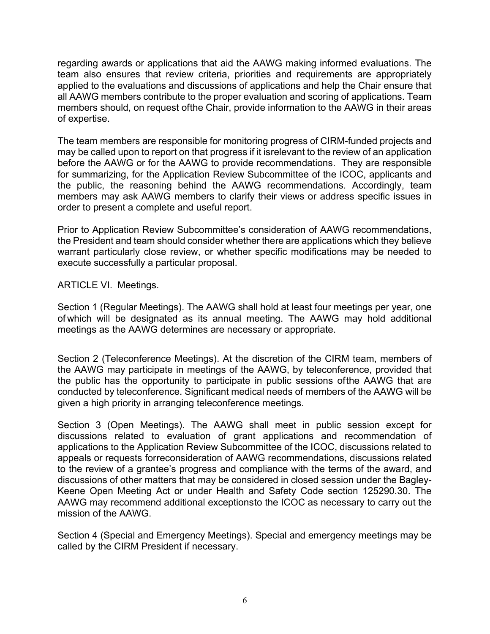regarding awards or applications that aid the AAWG making informed evaluations. The team also ensures that review criteria, priorities and requirements are appropriately applied to the evaluations and discussions of applications and help the Chair ensure that all AAWG members contribute to the proper evaluation and scoring of applications. Team members should, on request ofthe Chair, provide information to the AAWG in their areas of expertise.

The team members are responsible for monitoring progress of CIRM-funded projects and may be called upon to report on that progress if it isrelevant to the review of an application before the AAWG or for the AAWG to provide recommendations. They are responsible for summarizing, for the Application Review Subcommittee of the ICOC, applicants and the public, the reasoning behind the AAWG recommendations. Accordingly, team members may ask AAWG members to clarify their views or address specific issues in order to present a complete and useful report.

Prior to Application Review Subcommittee's consideration of AAWG recommendations, the President and team should consider whether there are applications which they believe warrant particularly close review, or whether specific modifications may be needed to execute successfully a particular proposal.

ARTICLE VI. Meetings.

Section 1 (Regular Meetings). The AAWG shall hold at least four meetings per year, one of which will be designated as its annual meeting. The AAWG may hold additional meetings as the AAWG determines are necessary or appropriate.

Section 2 (Teleconference Meetings). At the discretion of the CIRM team, members of the AAWG may participate in meetings of the AAWG, by teleconference, provided that the public has the opportunity to participate in public sessions ofthe AAWG that are conducted by teleconference. Significant medical needs of members of the AAWG will be given a high priority in arranging teleconference meetings.

Section 3 (Open Meetings). The AAWG shall meet in public session except for discussions related to evaluation of grant applications and recommendation of applications to the Application Review Subcommittee of the ICOC, discussions related to appeals or requests forreconsideration of AAWG recommendations, discussions related to the review of a grantee's progress and compliance with the terms of the award, and discussions of other matters that may be considered in closed session under the Bagley-Keene Open Meeting Act or under Health and Safety Code section 125290.30. The AAWG may recommend additional exceptionsto the ICOC as necessary to carry out the mission of the AAWG.

Section 4 (Special and Emergency Meetings). Special and emergency meetings may be called by the CIRM President if necessary.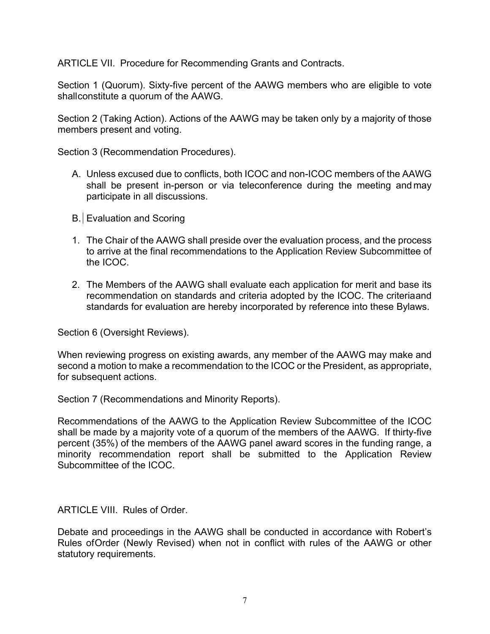ARTICLE VII. Procedure for Recommending Grants and Contracts.

Section 1 (Quorum). Sixty-five percent of the AAWG members who are eligible to vote shallconstitute a quorum of the AAWG.

Section 2 (Taking Action). Actions of the AAWG may be taken only by a majority of those members present and voting.

Section 3 (Recommendation Procedures).

- A. Unless excused due to conflicts, both ICOC and non-ICOC members of the AAWG shall be present in-person or via teleconference during the meeting and may participate in all discussions.
- B. Evaluation and Scoring
- 1. The Chair of the AAWG shall preside over the evaluation process, and the process to arrive at the final recommendations to the Application Review Subcommittee of the ICOC.
- 2. The Members of the AAWG shall evaluate each application for merit and base its recommendation on standards and criteria adopted by the ICOC. The criteriaand standards for evaluation are hereby incorporated by reference into these Bylaws.

Section 6 (Oversight Reviews).

When reviewing progress on existing awards, any member of the AAWG may make and second a motion to make a recommendation to the ICOC or the President, as appropriate, for subsequent actions.

Section 7 (Recommendations and Minority Reports).

Recommendations of the AAWG to the Application Review Subcommittee of the ICOC shall be made by a majority vote of a quorum of the members of the AAWG. If thirty-five percent (35%) of the members of the AAWG panel award scores in the funding range, a minority recommendation report shall be submitted to the Application Review Subcommittee of the ICOC.

ARTICLE VIII. Rules of Order.

Debate and proceedings in the AAWG shall be conducted in accordance with Robert's Rules ofOrder (Newly Revised) when not in conflict with rules of the AAWG or other statutory requirements.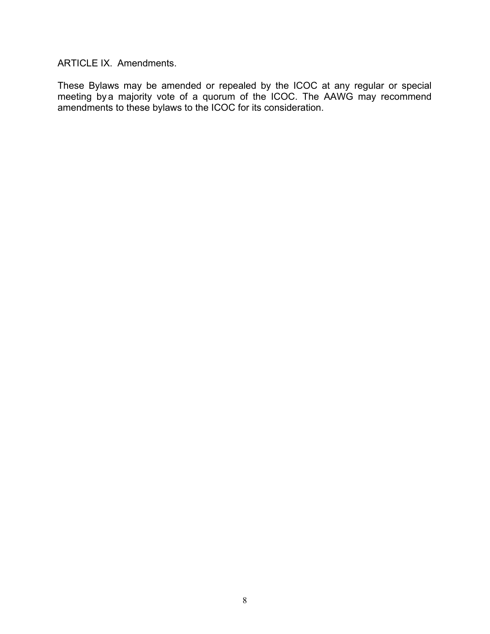ARTICLE IX. Amendments.

These Bylaws may be amended or repealed by the ICOC at any regular or special meeting by a majority vote of a quorum of the ICOC. The AAWG may recommend amendments to these bylaws to the ICOC for its consideration.